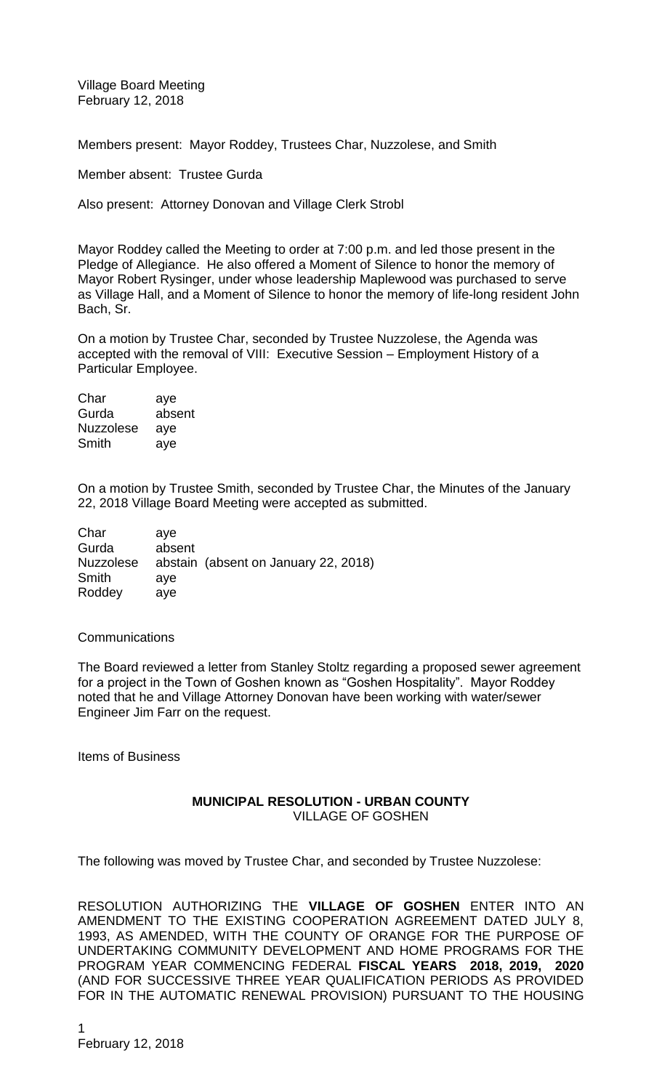Village Board Meeting February 12, 2018

Members present: Mayor Roddey, Trustees Char, Nuzzolese, and Smith

Member absent: Trustee Gurda

Also present: Attorney Donovan and Village Clerk Strobl

Mayor Roddey called the Meeting to order at 7:00 p.m. and led those present in the Pledge of Allegiance. He also offered a Moment of Silence to honor the memory of Mayor Robert Rysinger, under whose leadership Maplewood was purchased to serve as Village Hall, and a Moment of Silence to honor the memory of life-long resident John Bach, Sr.

On a motion by Trustee Char, seconded by Trustee Nuzzolese, the Agenda was accepted with the removal of VIII: Executive Session – Employment History of a Particular Employee.

| Char             | aye    |
|------------------|--------|
| Gurda            | absent |
| <b>Nuzzolese</b> | aye    |
| Smith            | aye    |

On a motion by Trustee Smith, seconded by Trustee Char, the Minutes of the January 22, 2018 Village Board Meeting were accepted as submitted.

| ave    |                                      |
|--------|--------------------------------------|
| absent |                                      |
|        | abstain (absent on January 22, 2018) |
| ave    |                                      |
| ave    |                                      |
|        |                                      |

## **Communications**

The Board reviewed a letter from Stanley Stoltz regarding a proposed sewer agreement for a project in the Town of Goshen known as "Goshen Hospitality". Mayor Roddey noted that he and Village Attorney Donovan have been working with water/sewer Engineer Jim Farr on the request.

Items of Business

## **MUNICIPAL RESOLUTION - URBAN COUNTY** VILLAGE OF GOSHEN

The following was moved by Trustee Char, and seconded by Trustee Nuzzolese:

RESOLUTION AUTHORIZING THE **VILLAGE OF GOSHEN** ENTER INTO AN AMENDMENT TO THE EXISTING COOPERATION AGREEMENT DATED JULY 8, 1993, AS AMENDED, WITH THE COUNTY OF ORANGE FOR THE PURPOSE OF UNDERTAKING COMMUNITY DEVELOPMENT AND HOME PROGRAMS FOR THE PROGRAM YEAR COMMENCING FEDERAL **FISCAL YEARS 2018, 2019, 2020** (AND FOR SUCCESSIVE THREE YEAR QUALIFICATION PERIODS AS PROVIDED FOR IN THE AUTOMATIC RENEWAL PROVISION) PURSUANT TO THE HOUSING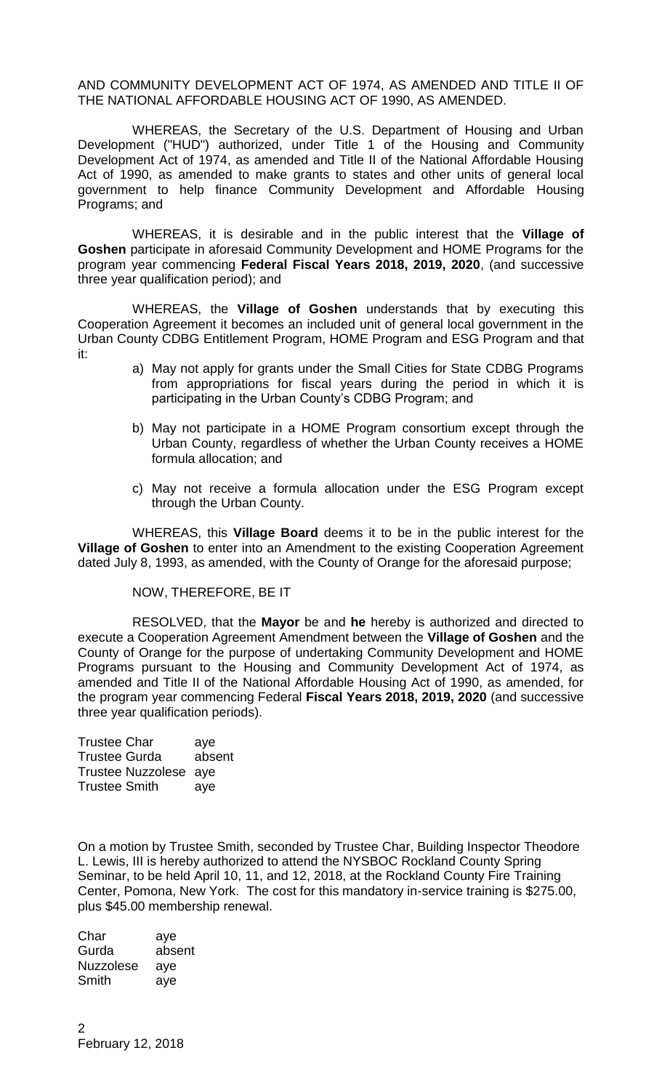AND COMMUNITY DEVELOPMENT ACT OF 1974, AS AMENDED AND TITLE II OF THE NATIONAL AFFORDABLE HOUSING ACT OF 1990, AS AMENDED.

WHEREAS, the Secretary of the U.S. Department of Housing and Urban Development ("HUD") authorized, under Title 1 of the Housing and Community Development Act of 1974, as amended and Title II of the National Affordable Housing Act of 1990, as amended to make grants to states and other units of general local government to help finance Community Development and Affordable Housing Programs; and

WHEREAS, it is desirable and in the public interest that the **Village of Goshen** participate in aforesaid Community Development and HOME Programs for the program year commencing **Federal Fiscal Years 2018, 2019, 2020**, (and successive three year qualification period); and

WHEREAS, the **Village of Goshen** understands that by executing this Cooperation Agreement it becomes an included unit of general local government in the Urban County CDBG Entitlement Program, HOME Program and ESG Program and that it:

- a) May not apply for grants under the Small Cities for State CDBG Programs from appropriations for fiscal years during the period in which it is participating in the Urban County's CDBG Program; and
- b) May not participate in a HOME Program consortium except through the Urban County, regardless of whether the Urban County receives a HOME formula allocation; and
- c) May not receive a formula allocation under the ESG Program except through the Urban County.

WHEREAS, this **Village Board** deems it to be in the public interest for the **Village of Goshen** to enter into an Amendment to the existing Cooperation Agreement dated July 8, 1993, as amended, with the County of Orange for the aforesaid purpose;

NOW, THEREFORE, BE IT

RESOLVED, that the **Mayor** be and **he** hereby is authorized and directed to execute a Cooperation Agreement Amendment between the **Village of Goshen** and the County of Orange for the purpose of undertaking Community Development and HOME Programs pursuant to the Housing and Community Development Act of 1974, as amended and Title II of the National Affordable Housing Act of 1990, as amended, for the program year commencing Federal **Fiscal Years 2018, 2019, 2020** (and successive three year qualification periods).

Trustee Char aye Trustee Gurda absent Trustee Nuzzolese aye Trustee Smith aye

On a motion by Trustee Smith, seconded by Trustee Char, Building Inspector Theodore L. Lewis, III is hereby authorized to attend the NYSBOC Rockland County Spring Seminar, to be held April 10, 11, and 12, 2018, at the Rockland County Fire Training Center, Pomona, New York. The cost for this mandatory in-service training is \$275.00, plus \$45.00 membership renewal.

Char aye Gurda absent Nuzzolese aye Smith aye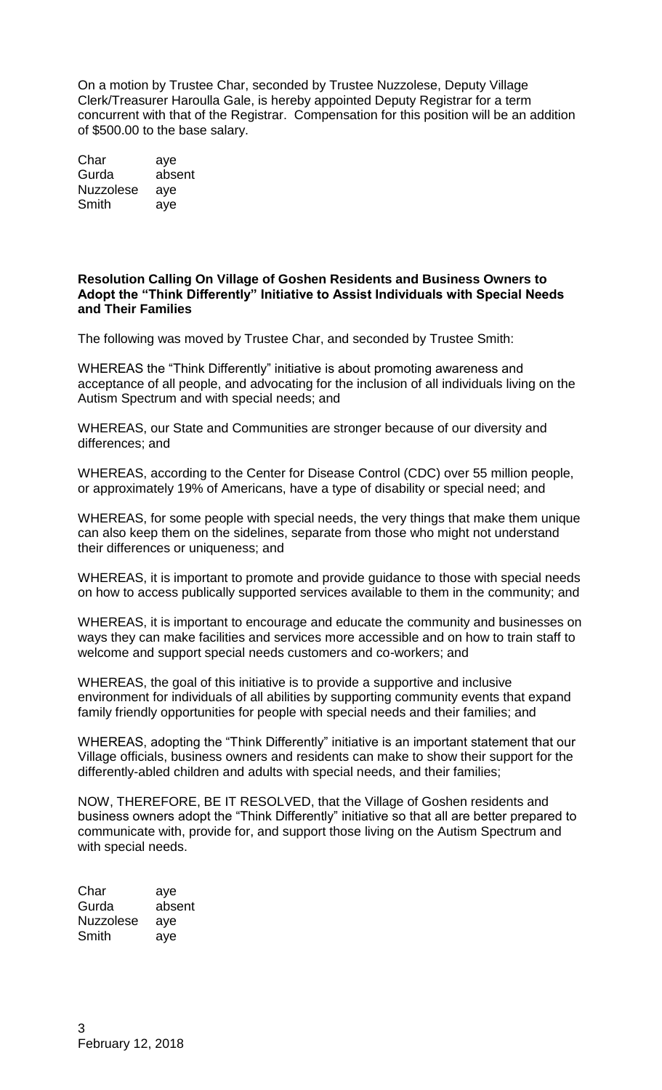On a motion by Trustee Char, seconded by Trustee Nuzzolese, Deputy Village Clerk/Treasurer Haroulla Gale, is hereby appointed Deputy Registrar for a term concurrent with that of the Registrar. Compensation for this position will be an addition of \$500.00 to the base salary.

Char aye Gurda absent Nuzzolese aye Smith aye

## **Resolution Calling On Village of Goshen Residents and Business Owners to Adopt the "Think Differently" Initiative to Assist Individuals with Special Needs and Their Families**

The following was moved by Trustee Char, and seconded by Trustee Smith:

WHEREAS the "Think Differently" initiative is about promoting awareness and acceptance of all people, and advocating for the inclusion of all individuals living on the Autism Spectrum and with special needs; and

WHEREAS, our State and Communities are stronger because of our diversity and differences; and

WHEREAS, according to the Center for Disease Control (CDC) over 55 million people, or approximately 19% of Americans, have a type of disability or special need; and

WHEREAS, for some people with special needs, the very things that make them unique can also keep them on the sidelines, separate from those who might not understand their differences or uniqueness; and

WHEREAS, it is important to promote and provide guidance to those with special needs on how to access publically supported services available to them in the community; and

WHEREAS, it is important to encourage and educate the community and businesses on ways they can make facilities and services more accessible and on how to train staff to welcome and support special needs customers and co-workers; and

WHEREAS, the goal of this initiative is to provide a supportive and inclusive environment for individuals of all abilities by supporting community events that expand family friendly opportunities for people with special needs and their families; and

WHEREAS, adopting the "Think Differently" initiative is an important statement that our Village officials, business owners and residents can make to show their support for the differently-abled children and adults with special needs, and their families;

NOW, THEREFORE, BE IT RESOLVED, that the Village of Goshen residents and business owners adopt the "Think Differently" initiative so that all are better prepared to communicate with, provide for, and support those living on the Autism Spectrum and with special needs.

Char aye Gurda absent Nuzzolese aye Smith aye